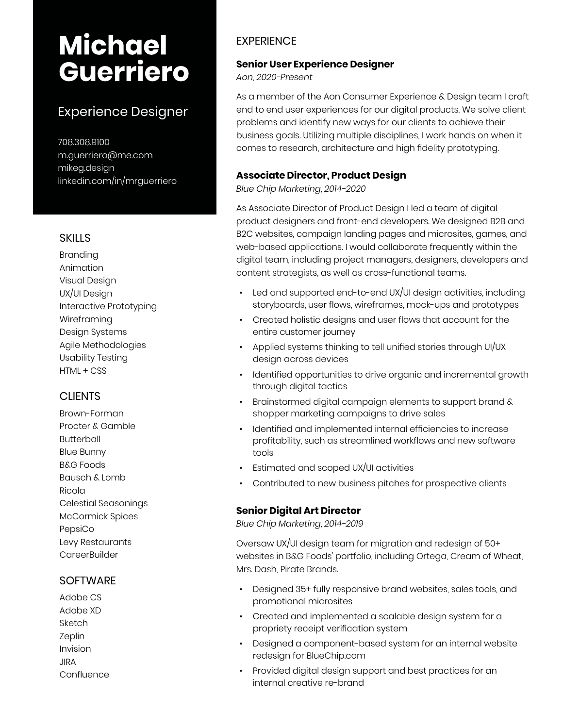# **Michael Guerriero**

# Experience Designer

708.308.9100 [m.guerriero@me.com](mailto:m.guerriero%40me.com%0D?subject=) [mikeg.design](http://mikeg.design) [linkedin.com/in/mrguerriero](http://www.linkedin.com/in/mrguerriero)

#### **SKILLS**

Branding Animation Visual Design UX/UI Design Interactive Prototyping Wireframing Design Systems Agile Methodologies Usability Testing HTML + CSS

### **CLIENTS**

Brown-Forman Procter & Gamble Butterball Blue Bunny B&G Foods Bausch & Lomb Ricola Celestial Seasonings McCormick Spices PepsiCo Levy Restaurants **CareerBuilder** 

#### **SOFTWARE**

Adobe CS Adobe XD Sketch Zeplin Invision JIRA **Confluence** 

## **EXPERIENCE**

#### **Senior User Experience Designer**

*Aon, 2020-Present*

As a member of the Aon Consumer Experience & Design team I craft end to end user experiences for our digital products. We solve client problems and identify new ways for our clients to achieve their business goals. Utilizing multiple disciplines, I work hands on when it comes to research, architecture and high fidelity prototyping.

#### **Associate Director, Product Design**

*Blue Chip Marketing, 2014-2020*

As Associate Director of Product Design I led a team of digital product designers and front-end developers. We designed B2B and B2C websites, campaign landing pages and microsites, games, and web-based applications. I would collaborate frequently within the digital team, including project managers, designers, developers and content strategists, as well as cross-functional teams.

- Led and supported end-to-end UX/UI design activities, including storyboards, user flows, wireframes, mock-ups and prototypes
- Created holistic designs and user flows that account for the entire customer journey
- Applied systems thinking to tell unified stories through UI/UX design across devices
- Identified opportunities to drive organic and incremental growth through digital tactics
- Brainstormed digital campaign elements to support brand & shopper marketing campaigns to drive sales
- Identified and implemented internal efficiencies to increase profitability, such as streamlined workflows and new software tools
- Estimated and scoped UX/UI activities
- Contributed to new business pitches for prospective clients

#### **Senior Digital Art Director**

*Blue Chip Marketing, 2014-2019*

Oversaw UX/UI design team for migration and redesign of 50+ websites in B&G Foods' portfolio, including Ortega, Cream of Wheat, Mrs. Dash, Pirate Brands.

- Designed 35+ fully responsive brand websites, sales tools, and promotional microsites
- Created and implemented a scalable design system for a propriety receipt verification system
- Designed a component-based system for an internal website redesign for BlueChip.com
- Provided digital design support and best practices for an internal creative re-brand